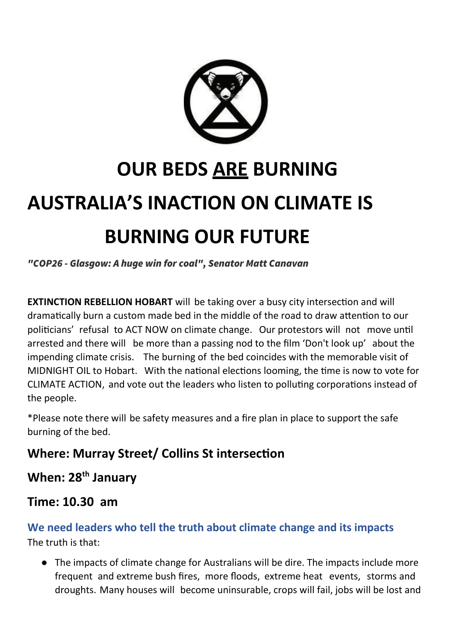

# **OUR BEDS ARE BURNING AUSTRALIA'S INACTION ON CLIMATE IS BURNING OUR FUTURE**

"COP26 - Glasgow: A huge win for coal", Senator Matt Canavan

**EXTINCTION REBELLION HOBART** will be taking over a busy city intersection and will dramatically burn a custom made bed in the middle of the road to draw attention to our politicians' refusal to ACT NOW on climate change. Our protestors will not move until arrested and there will be more than a passing nod to the film 'Don't look up' about the impending climate crisis. The burning of the bed coincides with the memorable visit of MIDNIGHT OIL to Hobart. With the national elections looming, the time is now to vote for CLIMATE ACTION, and vote out the leaders who listen to polluting corporations instead of the people.

\*Please note there will be safety measures and a fire plan in place to support the safe burning of the bed.

## **Where: Murray Street/ Collins St intersection**

## **When: 28th January**

### **Time: 10.30 am**

#### **We need leaders who tell the truth about climate change and its impacts** The truth is that:

● The impacts of climate change for Australians will be dire. The impacts include more frequent and extreme bush fires, more floods, extreme heat events, storms and droughts. Many houses will become uninsurable, crops will fail, jobs will be lost and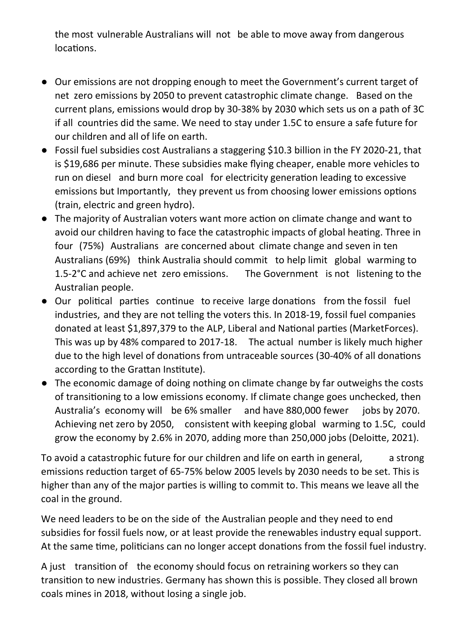the most vulnerable Australians will not be able to move away from dangerous locations.

- Our emissions are not dropping enough to meet the Government's current target of net zero emissions by 2050 to prevent catastrophic climate change. Based on the current plans, emissions would drop by 30-38% by 2030 which sets us on a path of 3C if all countries did the same. We need to stay under 1.5C to ensure a safe future for our children and all of life on earth.
- Fossil fuel subsidies cost Australians a staggering \$10.3 billion in the FY 2020-21, that is \$19,686 per minute. These subsidies make flying cheaper, enable more vehicles to run on diesel and burn more coal for electricity generation leading to excessive emissions but Importantly, they prevent us from choosing lower emissions options (train, electric and green hydro).
- The majority of Australian voters want more action on climate change and want to avoid our children having to face the catastrophic impacts of global heating. Three in four (75%) Australians are concerned about climate change and seven in ten Australians (69%) think Australia should commit to help limit global warming to 1.5-2°C and achieve net zero emissions. The Government is not listening to the Australian people.
- Our political parties continue to receive large donations from the fossil fuel industries, and they are not telling the voters this. In 2018-19, fossil fuel companies donated at least \$1,897,379 to the ALP, Liberal and National parties (MarketForces). This was up by 48% compared to 2017-18. The actual number is likely much higher due to the high level of donations from untraceable sources (30-40% of all donations according to the Grattan Institute).
- The economic damage of doing nothing on climate change by far outweighs the costs of transitioning to a low emissions economy. If climate change goes unchecked, then Australia's economy will be 6% smaller and have 880,000 fewer jobs by 2070. Achieving net zero by 2050, consistent with keeping global warming to 1.5C, could grow the economy by 2.6% in 2070, adding more than 250,000 jobs (Deloitte, 2021).

To avoid a catastrophic future for our children and life on earth in general, a strong emissions reduction target of 65-75% below 2005 levels by 2030 needs to be set. This is higher than any of the major parties is willing to commit to. This means we leave all the coal in the ground.

We need leaders to be on the side of the Australian people and they need to end subsidies for fossil fuels now, or at least provide the renewables industry equal support. At the same time, politicians can no longer accept donations from the fossil fuel industry.

A just transition of the economy should focus on retraining workers so they can transition to new industries. Germany has shown this is possible. They closed all brown coals mines in 2018, without losing a single job.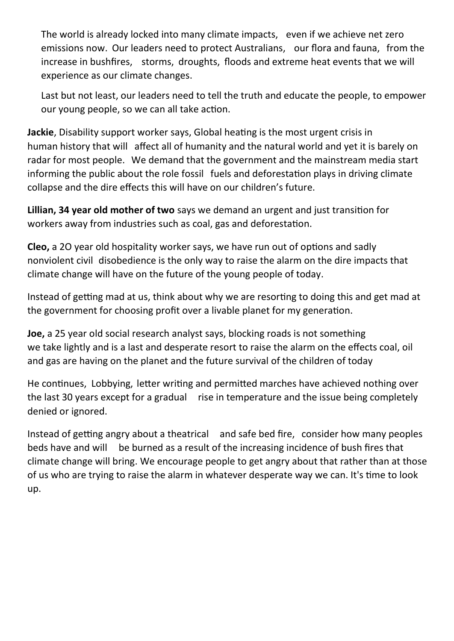The world is already locked into many climate impacts, even if we achieve net zero emissions now. Our leaders need to protect Australians, our flora and fauna, from the increase in bushfires, storms, droughts, floods and extreme heat events that we will experience as our climate changes.

Last but not least, our leaders need to tell the truth and educate the people, to empower our young people, so we can all take action.

**Jackie**, Disability support worker says, Global heating is the most urgent crisis in human history that will affect all of humanity and the natural world and yet it is barely on radar for most people. We demand that the government and the mainstream media start informing the public about the role fossil fuels and deforestation plays in driving climate collapse and the dire effects this will have on our children's future.

**Lillian, 34 year old mother of two** says we demand an urgent and just transition for workers away from industries such as coal, gas and deforestation.

**Cleo,** a 2O year old hospitality worker says, we have run out of options and sadly nonviolent civil disobedience is the only way to raise the alarm on the dire impacts that climate change will have on the future of the young people of today.

Instead of getting mad at us, think about why we are resorting to doing this and get mad at the government for choosing profit over a livable planet for my generation.

**Joe,** a 25 year old social research analyst says, blocking roads is not something we take lightly and is a last and desperate resort to raise the alarm on the effects coal, oil and gas are having on the planet and the future survival of the children of today

He continues, Lobbying, letter writing and permitted marches have achieved nothing over the last 30 years except for a gradual rise in temperature and the issue being completely denied or ignored.

Instead of getting angry about a theatrical and safe bed fire, consider how many peoples beds have and will be burned as a result of the increasing incidence of bush fires that climate change will bring. We encourage people to get angry about that rather than at those of us who are trying to raise the alarm in whatever desperate way we can. It's time to look up.